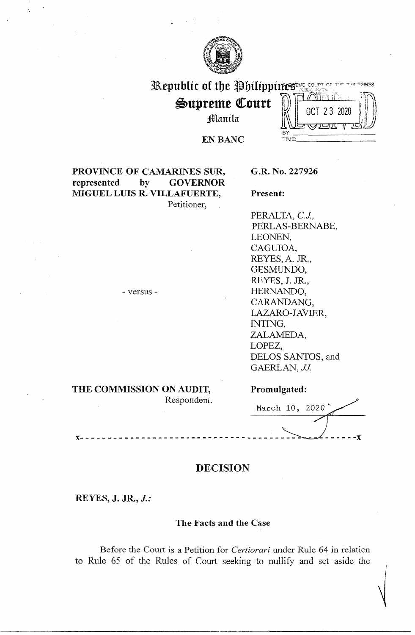

# Republic of the Philippines Magnetic

Supreme Court Manila

3 2020  $\frac{\|\mathcal{V}\|}{\mathcal{V}}$ 

**EN BANC** BY:

## **PROVINCE OF CAMARINES SUR, G.R. No. 227926 represented by GOVERNOR MIGUEL LUIS R. VILLAFUERTE, Present:**  Petitioner,

PERALTA, C.J., PERLAS-BERNABE, LEONEN, CAGUIOA, REYES, A. JR., GESMUNDO, REYES, J. JR., HERNANDO, CARANDANG, LAZARO-JAVIER, INTING, ZALAMEDA, LOPEZ, DELOS SANTOS, and GAERLAN, *JJ.* 

- versus -

### **THE COMMISSION ON AUDIT,**  Respondent.

### **Promulgated:**

March 10, 2020 **x--------------------------------------------....~------x** 

 $\sqrt{ }$ 

# **DECISION**

**REYES, J. JR.,** *J.:* 

### **The Facts and the Case**

Before the Court is a Petition for *Certiorari* under Rule 64 in relation to Rule 65 of the Rules of Court seeking to nullify and set aside the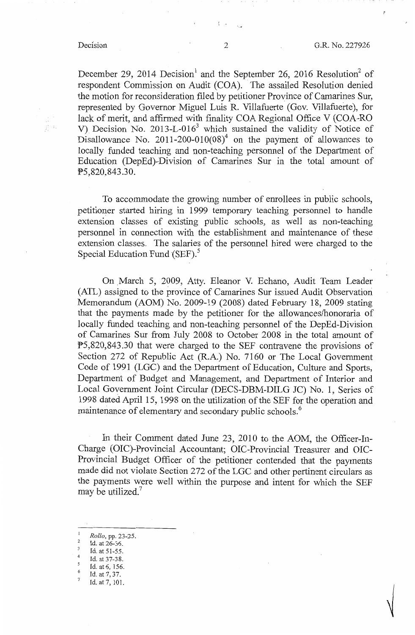December 29, 2014 Decision<sup>1</sup> and the September 26, 2016 Resolution<sup>2</sup> of respondent Commission on Audit (COA). The assailed Resolution denied the motion for reconsideration filed by petitioner Province of Camarines Sur, represented by Governor Miguel Luis R. Villafuerte ( Gov. Villafuerte), for lack of merit, and affirmed with finality COA Regional Office V (COA-RO V) Decision No. 2013-L-016<sup>3</sup> which sustained the validity of Notice of Disallowance No. 2011-200-010(08)<sup>4</sup> on the payment of allowances to locally funded teaching and non-teaching personnel of the Department of Education (DepEd)-Division of Camarines Sur in the total amount of PS,820,843.30.

To accommodate the growing number of enrollees in public schools, petitioner started hiring in 1999 temporary teaching personnel to handle extension classes of existing public schools, as well as non-teaching personnel in connection with the establishment and maintenance of these extension classes. The salaries of the personnel hired were charged to the Special Education Fund (SEF).<sup>5</sup>

On \_March 5, 2009, Atty. Eleanor V. Echano, Audit Team Leader (ATL) assigned to the province of Camarines Sur issued Audit Observation Memorandum (AOM) No. 2009-19 (2008) dated February 18, 2009 stating that the payments made by the petitioner for the allowances/honoraria of locally funded teaching and non-teaching personnel of the DepEd-Division of Camarines Sur from July 2008 to October 2008 in the total amount of !>5,820,843.30 that were charged to the SEF contravene the provisions of Section 272 of Republic Act (R.A.) No. 7160 or The Local Government Code of 1991 (LGC) and the Department of Education, Culture and Sports, Department of Budget and Management, and Department of Interior and Local Government Joint Circular (DECS-DBM-DILG JC) No. 1, Series of 1998 dated April 15, 1998 on the utilization of the SEF for the operation and maintenance of elementary and secondary public schools.<sup>6</sup>

In their Comment dated June 23, 2010 to the AOM, the Officer-In-Charge (OIC)-Provincial Accountant; OIC-Provincial Treasurer and OIC-Provincial Budget Officer of the petitioner contended that the payments made did not violate Section 272 of the LGC and other pertinent circulars as the payments were well within the purpose and intent for which the SEF may be utilized. $<sup>7</sup>$ </sup>

- 
- 

<sup>&</sup>lt;sup>1</sup> *Rollo*, pp. 23-25.<br><sup>2</sup> Id. at 26-36.

<sup>&</sup>lt;sup>3</sup> Id. at 51-55.<br><sup>4</sup> Id. at 37-38.<br>5 Id. at 6, 156.<br><sup>6</sup> Id. at 7, 37.<br>7 Id. at 7, 101.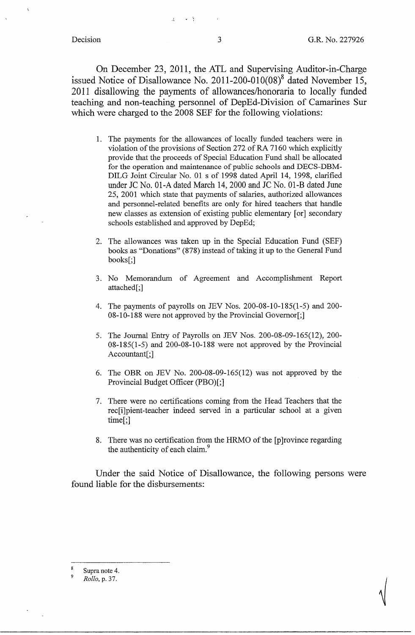✓

On December 23, 2011, the ATL and Supervising Auditor-in-Charge issued Notice of Disallowance No. 2011-200-010 $(08)^8$  dated November 15, 2011 disallowing the payments of allowances/honoraria to locally funded teaching and non-teaching personnel of DepEd-Division of Camarines Sur which were charged to the 2008 SEF for the following violations:

- 1. The payments for the allowances of locally funded teachers were in violation of the provisions of Section 272 of RA 7160 which explicitly provide that the proceeds of Special Education Fund shall be allocated for the operation and maintenance of public schools and DECS-DBM-DILG Joint Circular No. 01 s of 1998 dated April 14, 1998, clarified under JC No. 01-A dated March 14, 2000 and JC No. 01-B dated June 25, 2001 which state that payments of salaries, authorized allowances and personnel-related benefits are only for hired teachers that handle new classes as extension of existing public elementary [or] secondary schools established and approved by DepEd;
- 2. The allowances was taken up in the Special Education Fund (SEF) books as "Donations" (878) instead of taking it up to the General Fund books[;]
- 3. No Memorandum of Agreement and Accomplishment Report attached[;]
- 4. The payments of payrolls on JEV Nos. 200-08-10-185(1-5) and 200- 08-10-188 were not approved by the Provincial Governor[;]
- 5. The Journal Entry of Payrolls on JEV Nos. 200-08-09-165(12), 200- 08-185(1-5) and 200-08-10-188 were not approved by the Provincial Accountant[;]
- 6. The OBR on JEV No. 200-08-09-165(12) was not approved by the Provincial Budget Officer (PBO)[;]
- 7. There were no certifications coming from the Head Teachers that the rec[i]pient-teacher indeed served in a particular school at a given time[;]
- 8. There was no certification from the HRMO of the [p]rovince regarding the authenticity of each claim.<sup>9</sup>

Under the said Notice of Disallowance, the following persons were found liable for the disbursements:

Supra note 4.

<sup>9</sup>*Rollo,* p. 37.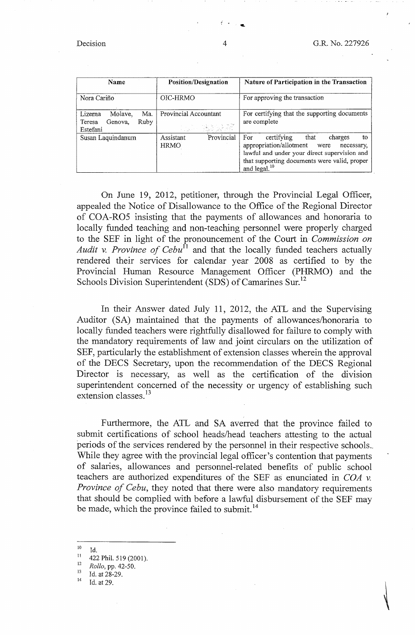| Name                                                               | <b>Position/Designation</b>            | Nature of Participation in the Transaction                                                                                                                                                                              |
|--------------------------------------------------------------------|----------------------------------------|-------------------------------------------------------------------------------------------------------------------------------------------------------------------------------------------------------------------------|
| Nora Cariño                                                        | OIC-HRMO                               | For approving the transaction                                                                                                                                                                                           |
| Molave,<br>Ma.<br>Lizerna<br>Ruby<br>Genova,<br>Teresa<br>Estefani | Provincial Accountant<br>17. MAR 개발 및  | For certifying that the supporting documents<br>are complete                                                                                                                                                            |
| Susan Laquindanum                                                  | Provincial<br>Assistant<br><b>HRMO</b> | For<br>certifying<br>that<br>charges<br>to<br>appropriation/allotment<br>were<br>necessary,<br>lawful and under your direct supervision and<br>that supporting documents were valid, proper<br>and legal. <sup>10</sup> |

On June 19, 2012, petitioner, through the Provincial Legal Officer, appealed the Notice of Disallowance to the Office of the Regional Director of COA-RO5 insisting that the payments of allowances and honoraria to locally funded teaching and non-teaching personnel were properly charged to the SEF in light of the pronouncement of the Court in *Commission on*  Audit v. Province of Cebu<sup>11</sup> and that the locally funded teachers actually rendered their services for calendar year 2008 as certified to by the Provincial Human Resource Management Officer (PHRMO) and the Schools Division Superintendent (SDS) of Camarines Sur.<sup>12</sup>

In their Answer dated July 11, 2012, the ATL and the Supervising Auditor (SA) maintained that the payments of allowances/honoraria to locally funded teachers were rightfully disallowed for failure to comply with the mandatory requirements of law and joint circulars on the utilization of SEF, particularly the establishment of extension classes wherein the approval of the DECS Secretary, upon the recommendation of the DECS Regional Director is necessary, as well as the certification of the division superintendent concerned of the necessity or urgency of establishing such extension classes.<sup>13</sup>

Furthermore, the ATL and SA averred that the province failed to submit certifications of school heads/head teachers attesting to the actual periods of the services rendered by the personnel in their respective schools .. While they agree with the provincial legal officer's contention that payments of salaries, allowances and personnel-related benefits of public school teachers are authorized expenditures of the SEF as enunciated in *COA v. Province of Cebu,* they noted that there were also mandatory requirements that should be complied with before a lawful disbursement of the SEF may be made, which the province failed to submit.<sup>14</sup>

 $\frac{10}{11}$  Id.

 $^{11}$  422 Phil. 519 (2001).

<sup>&</sup>lt;sup>12</sup> *Rollo, pp. 42-50.*<br><sup>13</sup> Id. at 28-29.<br><sup>14</sup> Id. at 29.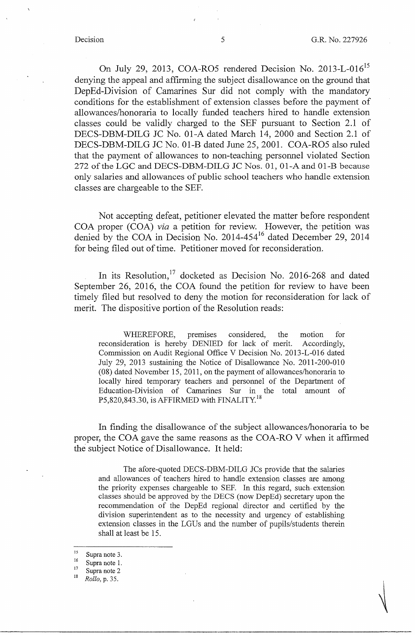On July 29, 2013, COA-RO5 rendered Decision No. 2013-L-016<sup>15</sup> denying the appeal and affirming the subject disallowance on the ground that DepEd-Division of Camarines Sur did not comply with the mandatory conditions for the establishment of extension classes before the payment of allowances/honoraria to locally funded teachers hired to handle extension classes could be validly charged to the SEF pursuant to Section 2.1 of DECS-DBM-DILG JC No. 01-A dated March 14, 2000 and Section 2.1 of DECS-DBM-DILG JC No. 01-B dated June 25, 2001. COA-RO5 also ruled that the payment of allowances to non-teaching personnel violated Section 272 of the LGC and DECS-DBM-DILG JC Nos. 01, 01-A and 01-B because only salaries and allowances of public school teachers who handle extension classes are chargeable to the SEF.

Not accepting defeat, petitioner elevated the matter before respondent COA proper (COA) *via* a petition for review. However, the petition was denied by the COA in Decision No. 2014-454<sup>16</sup> dated December 29, 2014 for being filed out of time. Petitioner moved for reconsideration.

In its Resolution,<sup>17</sup> docketed as Decision No. 2016-268 and dated September 26, 2016, the COA found the petition for review to have been timely filed but resolved to deny the motion for reconsideration for lack of merit. The dispositive portion of the Resolution reads:

WHEREFORE, premises considered, the motion for reconsideration is hereby DENIED for lack of merit. Accordingly, Commission on Audit Regional Office V Decision No. 2013-L-016 dated July 29, 2013 sustaining the Notice of Disallowance No. 2011-200-010 (08) dated November 15, 2011, on the payment of allowances/honoraria to locally hired temporary teachers and personnel of the Department of Education-Division of Camarines Sur in the total amount of P5,820,843.30, is AFFIRMED with FINALITY.<sup>18</sup>

In finding the disallowance of the subject allowances/honoraria to be proper, the COA gave the same reasons as the COA-RO V when it affirmed the subject Notice of Disallowance. It held:

The afore-quoted DECS-DBM-DILG JCs provide that the salaries and allowances of teachers hired to handle extension classes are among the priority expenses chargeable to SEF. In this regard, such. extension classes should be approved by the DECS (now DepEd) secretary upon the recommendation of the DepEd regional director and certified by the division superintendent as to the necessity and urgency of establishing extension classes in the LGUs and the number of pupils/students therein shall at least be 15.

- 16 Supra note I. 17 Supra note 2 18 *Rollo,* p. 35.
- 

 $\frac{15}{16}$  Supra note 3.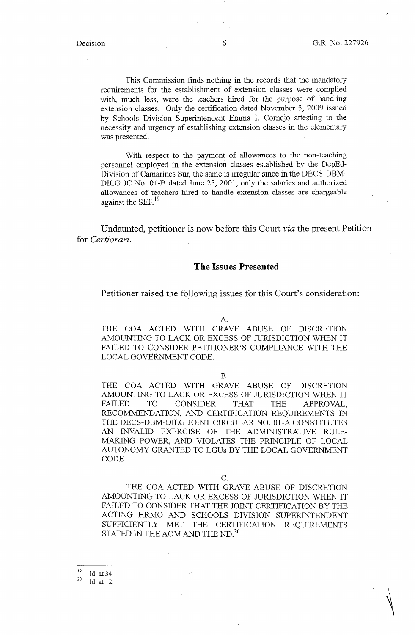This Commission finds nothing in the records that the mandatory requirements for the establishment of extension classes were complied with, much less, were the teachers hired for the purpose of handling extension classes. Only the certification dated November 5, 2009 issued by Schools Division Superintendent Emma I. Cornejo attesting to the necessity and urgency of establishing extension classes in the elementary was presented.

With respect to the payment of allowances to the non-teaching personnel employed in the extension classes established by the DepEd-Division of Camarines Sur, the same is irregular since in the DECS-DBM-DILG JC No. 01-B dated June 25, 2001, only the salaries and authorized allowances of teachers hired to handle extension classes are chargeable against the SEF.<sup>19</sup>

Undaunted, petitioner is now before this Court *via* the present Petition for *Certiorari.* 

### **The Issues Presented**

Petitioner raised the following issues for this Court's consideration:

A.

THE COA ACTED WITH GRAVE ABUSE OF DISCRETION AMOUNTING TO LACK OR EXCESS OF JURISDICTION WHEN IT FAILED TO CONSIDER PETITIONER'S COMPLIANCE WITH THE LOCAL GOVERNMENT CODE.

B.

THE COA ACTED WITH GRAVE ABUSE OF DISCRETION AMOUNTING TO LACK OR EXCESS OF JURISDICTION WHEN IT FAILED TO CONSIDER THAT THE APPROVAL, RECOMMENDATION, AND CERTIFICATION REQUIREMENTS IN THE DECS-DBM-DILG JOINT CIRCULAR NO. 01-A CONSTITUTES AN INVALID EXERCISE OF THE ADMINISTRATIVE RULE-MAKING POWER, AND VIOLATES THE PRINCIPLE OF LOCAL AUTONOMY GRANTED TO LGUs BY THE LOCAL GOVERNMENT CODE.

C.

THE COA ACTED WITH GRAVE ABUSE OF DISCRETION AMOUNTING TO LACK OR EXCESS OF JURISDICTION WHEN IT FAILED TO CONSIDER THAT THE JOINT CERTIFICATION BY THE ACTING HRMO AND SCHOOLS DIVISION SUPERINTENDENT SUFFICIENTLY MET THE CERTIFICATION REQUIREMENTS STATED IN THE AOM AND THE ND. $^{20}$ 

 $\frac{19}{20}$  Id. at 34.<br>Id. at 12.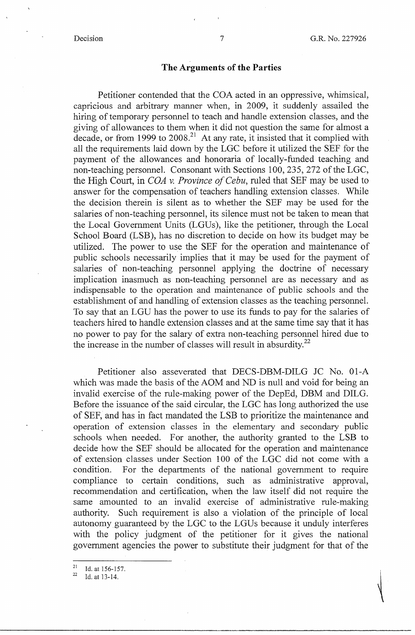### **The Arguments of the Parties**

Petitioner contended that the COA acted in an oppressive, whimsical, capricious and arbitrary manner when, in 2009, it suddenly assailed the hiring of temporary personnel to teach and handle extension classes, and the giving of allowances to them when it did not question the same for almost a decade, or from 1999 to  $2008<sup>21</sup>$  At any rate, it insisted that it complied with all the requirements laid down by the LGC before it utilized the SEF for the payment of the allowances and honoraria of locally-funded teaching and non-teaching personnel. Consonant with Sections 100,235, 272 of the LGC, the High Court, in *COA v. Province of Cebu,* ruled that SEF may be used to answer for the compensation of teachers handling extension classes. While the decision therein is silent as to whether the SEF may be used for the salaries of non-teaching personnel, its silence must not be taken to mean that the Local Government Units (LGUs), like the petitioner, through the Local School Board (LSB), has no discretion to decide on how its budget may be utilized. The power to use the SEF for the operation and maintenance of public schools necessarily implies that it may be used for the payment of salaries of non-teaching personnel applying the doctrine of necessary implication inasmuch as non-teaching personnel are as necessary and as indispensable to the operation and maintenance of public schools and the establishment of and handling of extension classes as the teaching personnel. To say that an LGU has the power to use its funds to pay for the salaries of teachers hired to handle extension classes and at the same time say that it has no power to pay for the salary of extra non-teaching personnel hired due to the increase in the number of classes will result in absurdity. $^{22}$ 

Petitioner also asseverated that DECS-DBM-DILG JC No. 01-A which was made the basis of the AOM and ND is null and void for being an invalid exercise of the rule-making power of the DepEd, DBM and DILG. Before the issuance of the said circular, the LGC has long authorized the use of SEF, and has in fact mandated the LSB to prioritize the maintenance and operation of extension classes in the elementary and secondary public schools when needed. For another, the authority granted to the LSB to decide how the SEF should be allocated for the operation and maintenance of extension classes under Section 100 of the LGC did not come with a condition. For the departments of the national government to require compliance to certain conditions, such as administrative approval, recommendation and certification, when the law itself did not require the same amounted to an invalid exercise of administrative rule-making authority. Such requirement is also a violation of the principle of local autonomy guaranteed by the LGC to the LGUs because it unduly interferes with the policy judgment of the petitioner for it gives the national government agencies the power to substitute their judgment for that of the

 $\frac{21}{22}$  Id. at 156-157.<br>1d. at 13-14.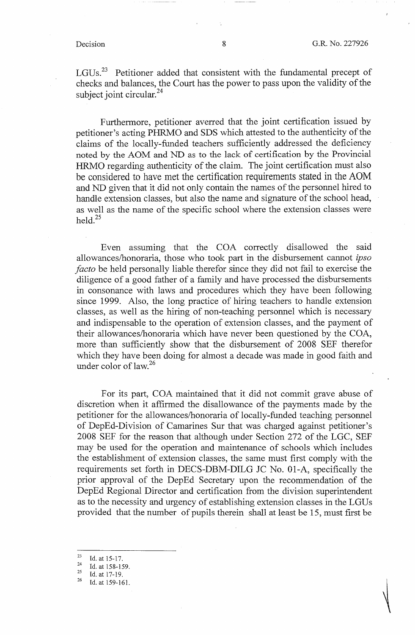LGUs.<sup>23</sup> Petitioner added that consistent with the fundamental precept of checks and balances, the Court has the power to pass upon the validity of the subject joint circular.<sup>24</sup>

Furthermore, petitioner averred that the joint certification issued by petitioner's acting PHRMO and SDS which attested to the authenticity of the claims of the locally-funded teachers sufficiently addressed the deficiency noted by the AOM and ND as to the lack of certification by the Provincial HRMO regarding authenticity of the claim. The joint certification must also be considered to have met the certification requirements stated in the AOM and ND given that it did not only contain the names of the personnel hired to handle extension classes, but also the name and signature of the school head, as well as the name of the specific school where the extension classes were held. $25$ 

Even assuming that the COA correctly disallowed the said allowances/honoraria, those who took part in the disbursement cannot *ipso facto* be held personally liable therefor since they did not fail to exercise the diligence of a good father of a family and have processed the disbursements in consonance with laws and procedures which they have been following since 1999. Also, the long practice of hiring teachers to handle extension classes, as well as the hiring of non-teaching personnel which is necessary and indispensable to the operation of extension classes, and the payment of their allowances/honoraria which have never been questioned by the COA, more than sufficiently show that the disbursement of 2008 SEF therefor which they have been doing for almost a decade was made in good faith and under color of law. $^{26}$ 

For its part, COA maintained that it did not commit grave abuse of discretion when it affirmed the disallowance of the payments made by the petitioner for the allowances/honoraria of locally-funded teaching personnel of DepEd-Division of Camarines Sur that was charged against petitioner's 2008 SEF for the reason that although under Section 272 of the LGC, SEF may be used for the operation and maintenance of schools which includes the establishment of extension classes, the same must first comply with the requirements set forth in DECS-DBM-DILG JC No. 01-A, specifically the prior approval of the DepEd Secretary upon the recommendation of the DepEd Regional Director and certification from the division superintendent as to the necessity and urgency of establishing extension classes in the LGUs provided that the number of pupils therein shall at least be 15, must first be

 $\frac{23}{24}$  Id. at 15-17.

<sup>&</sup>lt;sup>24</sup> Id. at 158-159.<br><sup>25</sup> Id. at 17-19.<br><sup>26</sup> Id. at 150.161.

Id. at 159-161.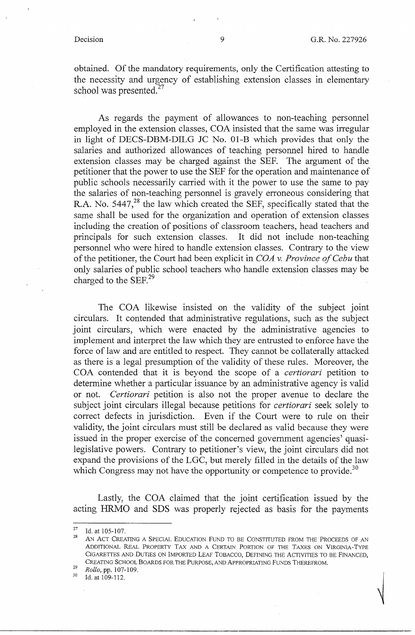obtained. Of the mandatory requirements, only the Certification attesting to the necessity and urgency of establishing extension classes in elementary school was presented. $27$ 

As regards the payment of allowances to non-teaching personnel employed in the extension classes, COA insisted that the same was irregular in light of DECS-DBM-DILG JC No. 01-B which provides that only the salaries and authorized allowances of teaching personnel hired to handle extension classes may be charged against the SEP. The argument of the petitioner that the power to use the SEF for the operation and maintenance of public schools necessarily carried with it the power to use the same to pay the salaries of non-teaching personnel is gravely erroneous considering that R.A. No. 5447,<sup>28</sup> the law which created the SEF, specifically stated that the same shall be used for the organization and operation of extension classes including the creation of positions of classroom teachers, head teachers and principals for such extension classes. It did not include non-teaching personnel who were hired to handle extension classes. Contrary to the view of the petitioner, the Court had been explicit in *COA v. Province of Cebu* that only salaries of public school teachers who handle extension classes may be charged to the SEF. $^{29}$ 

The COA likewise insisted on the validity of the subject joint circulars. It contended that administrative regulations, such as the subject joint circulars, which were enacted by the administrative agencies to implement and interpret the law which they are entrusted to enforce have the force of law and are entitled to respect. They cannot be collaterally attacked as there is a legal presumption of the validity of these rules. Moreover, the COA contended that it is beyond the scope of a *certiorari* petition to determine whether a particular issuance by an administrative agency is valid or not. *Certiorari* petition is also not the proper avenue to declare the subject joint circulars illegal because petitions for *certiorari* seek solely to correct defects in jurisdiction. Even if the Court were to rule on their validity, the joint circulars must still be declared as valid because they were issued in the proper exercise of the concerned government agencies' quasilegislative powers. Contrary to petitioner's view, the joint circulars did not expand the provisions of the LGC, but merely filled in the details of the law which Congress may not have the opportunity or competence to provide.<sup>30</sup>

Lastly, the COA claimed that the joint certification issued by the acting HRMO and SDS was properly rejected as basis for the payments

 $^{27}$ Id. at 105-107. <br><sup>28</sup> AN ACT CREATING A SPECIAL EDUCATION FUND TO BE CONSTITUTED FROM THE PROCEEDS OF AN ADDITIONAL REAL PROPERTY TAX AND A CERTAIN PORTION OF THE TAXES ON VIRGINIA-TYPE CIGARETTES AND DUTIES ON IMPORTED LEAF TOBACCO, DEFINING THE ACTIVITIES TO BE FINANCED, CREATING SCHOOL BOARDS FOR THE PURPOSE, AND APPROPRIATING FUNDS THEREFROM.<br>*29 Rollo*, pp. 107-109.<br><sup>30</sup> Id. at 109-112.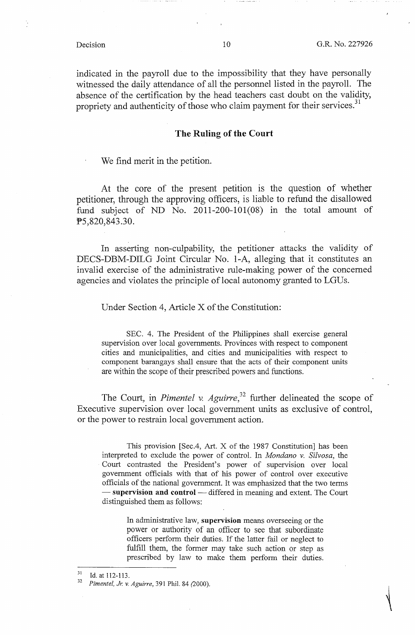indicated in the payroll due to the impossibility that they have personally witnessed the daily attendance of all the personnel listed in the payroll. The absence of the certification by the head teachers cast doubt on the validity, propriety and authenticity of those who claim payment for their services.<sup>31</sup>

### **The Ruling of the Court**

We find merit in the petition.

At the core of the present petition is the question of whether petitioner, through the approving officers, is liable to refund the disallowed fund subject of ND No. 2011-200-101(08) in the total amount of PS,820,843.30.

In asserting non-culpability, the petitioner attacks the validity of DECS-DBM-DILG Joint Circular No. 1-A, alleging that it constitutes an invalid exercise of the administrative rule-making power of the concerned agencies and violates the principle of local autonomy granted to LGUs.

Under Section 4, Article X of the Constitution:

SEC. 4. The President of the Philippines shall exercise general supervision over local governments. Provinces with respect to component cities and municipalities, and cities and municipalities with respect to component barangays shall ensure that the acts of their component units are within the scope of their prescribed powers and functions.

The Court, in *Pimentel v. Aguirre*,<sup>32</sup> further delineated the scope of Executive supervision over local government units as exclusive of control, or the power to restrain local government action.

This provision [Sec.4, Art. X of the 1987 Constitution] has been interpreted to exclude the power of control. In *Mondano v. Silvosa,* the Court contrasted the President's power of supervision over local government officials with that of his power of control over executive officials of the national government. It was emphasized that the two terms - supervision and control - differed in meaning and extent. The Court distinguished them as follows:

In administrative law, **supervision** means overseeing or the power or authority of an officer to see that subordinate officers perform their duties. If the latter fail or neglect to fulfill them, the former may take such action or step as prescribed by law to make them perform their duties.

<sup>31</sup> Id. at 112-113. 32 *Pimentel, Jr. v. Aguirre,* 391 Phil. 84 (2000).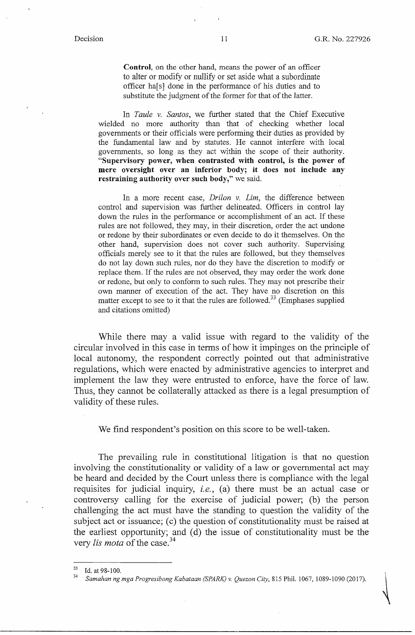**Control,** on the other hand, means the power of an officer to alter or modify or nullify or set aside what a subordinate officer ha<sup>[s]</sup> done in the performance of his duties and to substitute the judgment of the former for that of the latter.

In *Taule v. Santos,* we further stated that the Chief Executive wielded no more authority than that of checking whether local governments or their officials were performing their duties as provided by the fundamental law and by statutes. He cannot interfere with local governments, so long as they act within the scope of their authority. **"Supervisory power, when contrasted with control, is the power of mere oversight over an inferior body; it does not include any restraining authority over such body,"** we said.

In a more recent case, *Drilon v. Lim,* the difference between control and supervision was further delineated. Officers in control lay down the rules in the performance or accomplishment of an act. If these rules are not followed, they may, in their discretion, order the act undone or redone by their subordinates or even decide to do it themselves. On the other hand, supervision does not cover such authority. Supervising officials merely see to it that the rules are followed, but they themselves do not lay down such rules, nor do they have the discretion to modify or replace them. If the rules are not observed, they may order the work done or redone, but only to conform to such rules. They may not prescribe their own manner of execution of the act. They have no discretion on this matter except to see to it that the rules are followed.<sup>33</sup> (Emphases supplied and citations omitted)

While there may a valid issue with regard to the validity of the circular involved in this case in terms of how it impinges on the principle of local autonomy, the respondent correctly pointed out that administrative regulations, which were enacted by administrative agencies to interpret and implement the law they were entrusted to enforce, have the force of law. Thus, they cannot be collaterally attacked as there is a legal presumption of validity of these rules.

We find respondent's position on this score to be well-taken.

The prevailing rule in constitutional litigation is that no question involving the constitutionality or validity of a law or governmental act may be heard and decided by the Court unless there is compliance with the legal requisites for judicial inquiry, *i.e.,* (a) there must be an actual case or controversy calling for the exercise of judicial power; (b) the person challenging the act must have the standing to question the validity of the subject act or issuance; (c) the question of constitutionality must be raised at the earliest opportunity; and ( d) the issue of constitutionality must be the very *!is mota* of the case. 34

<sup>33</sup> Id. at 98-100. 34 *Samahan ng mga Progresibong Kabataan (SPARK) v. Quezon City,* 815 Phil. 1067, 1089-1090 (2017).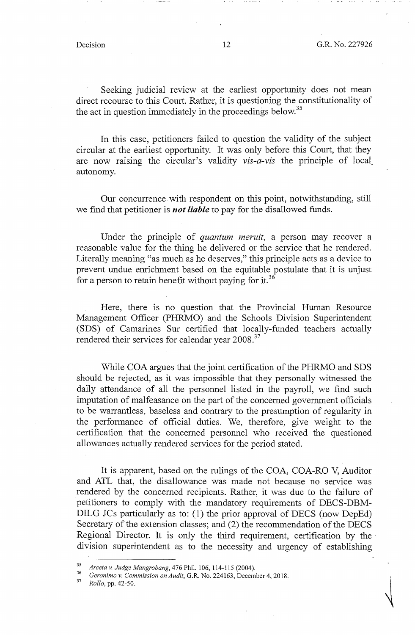Seeking judicial review at the earliest opportunity does not mean direct recourse to this Court. Rather, it is questioning the constitutionality of the act in question immediately in the proceedings below.<sup>35</sup>

In this case, petitioners failed to question the validity of the subject circular at the earliest opportunity. It was only before this Court, that they are now raismg the circular's validity *vis-a-vis* the principle of local autonomy.

Our concurrence with respondent on this point, notwithstanding, still we find that petitioner is *not liable* to pay for the disallowed funds.

Under the principle of *quantum meruit,* a person may recover a reasonable value for the thing he delivered or the service that he rendered. Literally meaning "as much as he deserves," this principle acts as a device to prevent undue enrichment based on the equitable postulate that it is unjust for a person to retain benefit without paying for it.<sup>36</sup>

Here, there is no question that the Provincial Human Resource Management Officer (PHRMO) and the Schools Division Superintendent (SDS) of Camarines Sur certified that locally-funded teachers actually rendered their services for calendar year 2008.<sup>37</sup>

While COA argues that the joint certification of the PHRMO and SDS should be rejected, as it was impossible that they personally witnessed the daily attendance of all the personnel listed in the payroll, we find such imputation of malfeasance on the part of the concerned government officials to be warrantless, baseless and contrary to the presumption of regularity in the performance of official duties. We, therefore, give weight to the certification that the concerned personnel who received the questioned allowances actually rendered services for the period stated.

It is apparent, based on the rulings of the COA, COA-RO V, Auditor and ATL that, the disallowance was made not because no service was rendered by the concerned recipients. Rather, it was due to the failure of petitioners to comply with the mandatory requirements of DECS-DBM-DILG JCs particularly as to: (1) the prior approval of DECS (now DepEd) Secretary of the extension classes; and (2) the recommendation of the DECS Regional Director. It is only the third requirement, certification by the division superintendent as to the necessity and urgency of establishing

<sup>35</sup>*Arceta v. Judge Mangrobang,* 476 Phil. 106, 114-115 (2004). 36 *Geronimo v. Commission on Audit,* G .R. No. 224163, December 4, 2018. 37 *Rollo,* pp. 42-50.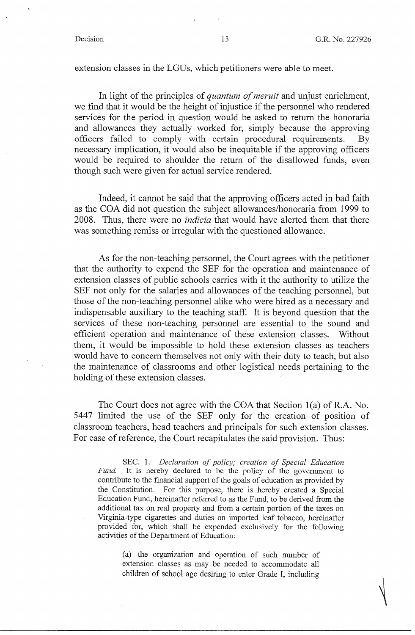extension classes in the LGUs, which petitioners were able to meet.

In light of the principles of *quantum of meruit* and unjust enrichment, we find that it would be the height of injustice if the personnel who rendered services for the period in question would be asked to return the honoraria and allowances they actually worked for, simply because the approving officers failed to comply with certain procedural requirements. By necessary implication, it would also be inequitable if the approving officers would be required to shoulder the return of the disallowed funds, even though such were given for actual service rendered.

Indeed, it cannot be said that the approving officers acted in bad faith as the COA did not question the subject allowances/honoraria from 1999 to 2008. Thus, there were no *indicia* that would have alerted them that there was something remiss or irregular with the questioned allowance.

As for the non-teaching personnel, the Court agrees with the petitioner that the authority to expend the SEF for the operation and maintenance of extension classes of public schools carries with it the authority to utilize the SEF not only for the salaries and allowances of the teaching personnel, but those of the non-teaching personnel alike who were hired as a necessary and indispensable auxiliary to the teaching staff. It is beyond question that the services of these non-teaching personnel are essential to the sound and efficient operation and maintenance of these extension classes. Without them, it would be impossible to hold these extension classes as teachers would have to concern themselves not only with their duty to teach, but also the maintenance of classrooms and other logistical needs pertaining to the holding of these extension classes.

The Court does not agree with the COA that Section l(a) of R.A. No. 5447 limited the use of the SEF only for the creation of position of classroom teachers, head teachers and principals for such extension classes. For ease of reference, the Court recapitulates the said provision. Thus:

SEC. 1. *Declaration of policy; creation of Special Education Fund.* It is hereby declared to be the policy of the government to contribute to the financial support of the goals of education as provided by the Constitution. For this purpose, there is hereby created a Special Education Fund, hereinafter referred to as the Fund, to be derived from the additional tax on real property and from a certain portion of the taxes on Virginia-type cigarettes and duties on imported leaf tobacco, hereinafter provided for, which shall be expended exclusively for the following activities of the Department of Education:

(a) the organization and operation of such number of extension classes as may be needed to accommodate all children of school age desiring to enter Grade I, including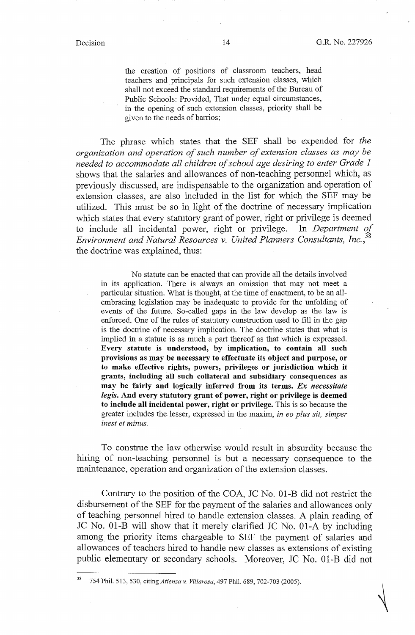the creation of positions of classroom teachers, head teachers and principals for such extension classes, which shall not exceed the standard requirements of the Bureau of Public Schools: Provided, That under equal circumstances, in the opening of such extension classes, priority shall be given to the needs of barrios;

The phrase which states that the SEF shall be expended for *the organization and operation of such number of extension classes as may be needed to accommodate all children of school age desiring to enter Grade I*  shows that the salaries and allowances of non-teaching personnel which, as previously discussed, are indispensable to the organization and operation of extension classes, are also included in the list for which the SEF may be utilized. This must be so in light of the doctrine of necessary implication which states that every statutory grant of power, right or privilege is deemed to include all incidental power, right or privilege. In *Department of Environment and Natural Resources v. United Planners Consultants, lnc.,<sup>38</sup>* the doctrine was explained, thus:

No statute can be enacted that can provide all the details involved in its application. There is always an omission that may not meet a particular situation. What is thought, at the time of enactment, to be an allembracing legislation may be inadequate to provide for the unfolding of events of the future. So-called gaps in the law develop as the law is enforced. One of the rules of statutory construction used to fill in the gap is the doctrine of necessary implication. The doctrine states that what is implied in a statute is as much a part thereof as that which is expressed. **Every statute is understood, by implication, to contain all such provisions as may be necessary to effectuate its object and purpose, or to make effective rights, powers, privileges or jurisdiction which it grants, including all such collateral and subsidiary consequences as may be fairly and logically inferred from its terms.** *Ex necessitate legis.* **And every statutory grant of power, right or privilege is deemed to include all incidental power, right or privilege.** This is so because the greater includes the lesser, expressed in the maxim, *in eo plus sit, simper inest et minus.* 

To construe the law otherwise would result in absurdity because the hiring of non-teaching personnel is but a necessary consequence to the maintenance, operation and organization of the extension classes.

Contrary to the position of the COA, JC No. 01-B did not restrict the disbursement of the SEF for the payment of the salaries and allowances only of teaching personnel hired to handle extension classes. A plain reading of JC No. 01-B will show that it merely clarified JC No. 01-A by including among. the priority items chargeable to SEF the payment of salaries and allowances of teachers hired to handle new classes as extensions of existing public elementary or: secondary schools. Moreover, JC No. 01-B did not

38 754 Phil. 513, 530, citing *Atienza v. Villarosa,* 497 Phil. 689, 702-703 (2005).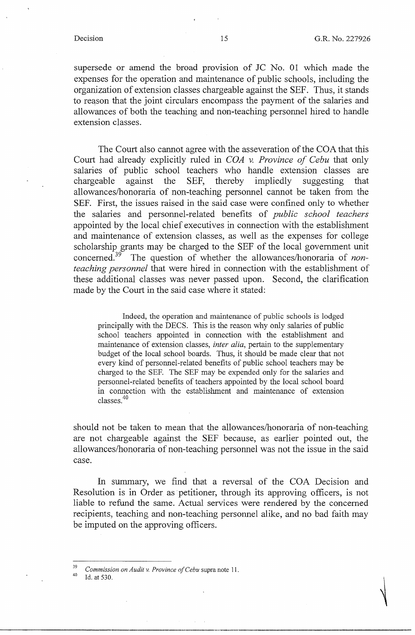supersede or amend the broad provision of JC No. 01 which made the expenses for the operation and maintenance of public schools, including the organization of extension classes chargeable against the SEF. Thus, it stands to reason that the joint circulars encompass the payment of the salaries and allowances of both the teaching and non-teaching personnel hired to handle extension classes.

The Court also cannot agree with the asseveration of the COA that this Court had already explicitly ruled in *COA v. Province of Cebu* that only salaries of public school teachers who handle extension classes are chargeable against the SEF, thereby impliedly suggesting that allowances/honoraria of non-teaching personnel cannot be taken from the SEF. First, the issues raised in the said case were confined only to whether the salaries and personnel-related benefits of *public school teachers*  appointed by the local chief executives in connection with the establishment and maintenance of extension classes, as well as the expenses for college scholarship grants may be charged to the SEF of the local government unit concerned. 39 The question of whether the allowances/honoraria of *nonteaching personnel* that were hired in connection with the establishment of these additional classes was never passed upon. Second, the clarification made by the Court in the said case where it stated:

Indeed, the operation and maintenance of public schools is lodged principally with the DECS. This is the reason why only salaries of public school teachers appointed in connection with the establishment and maintenance of extension classes, *inter alia,* pertain to the supplementary budget of the local school boards. Thus, it should be made clear that not every kind of personnel-related benefits of public school teachers may be charged to the SEF. The SEF may be expended only for the salaries and personnel-related benefits of teachers appointed by the local school board in connection with the establishment and maintenance of extension classes.<sup>40</sup>

should not be taken to mean that the allowances/honoraria of non-teaching are not chargeable against the SEF because, as earlier pointed out, the allowances/honoraria of non-teaching personnel was not the issue in the said case.

In summary, we find that a reversal of the COA Decision and Resolution is in Order as petitioner, through its approving officers, is not liable to refund the same. Actual services were rendered by the concerned recipients, teaching and non-teaching personnel alike, and no bad faith may be imputed on the approving officers.

<sup>&</sup>lt;sup>39</sup> Commission on Audit v. Province of Cebu supra note 11.<br><sup>40</sup> Id. at 530.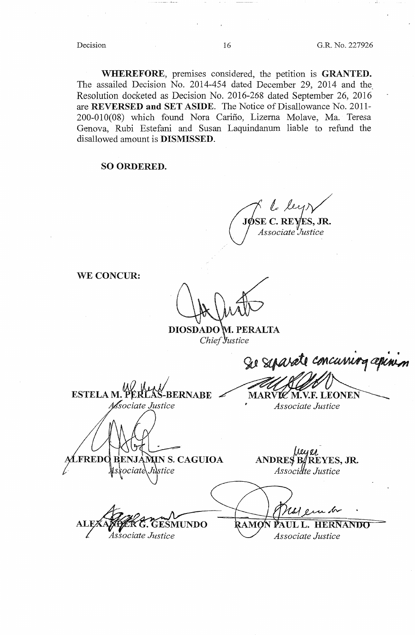**WHEREFORE,** premises considered, the petition is **GRANTED.**  The assailed Decision No. 2014-454 dated December 29, 2014 and the Resolution docketed as Decision No. 2016-268 dated September 26, 2016 are **REVERSED and SET ASIDE**. The Notice of Disallowance No. 2011-200-010(08) which found Nora Carino, Lizema Molave, Ma. Teresa Genova, Rubi Estefani and Susan Laquindanum liable to refund the disallowed amount is **DISMISSED.** 

### **SO ORDERED.**

**JØSE C. REYES, JR.** *Associate 'Justice* 

**WE CONCUR:** 

**DIOSDADO M. PERALTA** Chief Justice

**ESTELA M. PERILAS-BERNABE**<br>*Associate Justice* 

Se separate concurring apinis MARVIZ M.V.F. LEONEN

*Associate Justice* 

LFREDO BENJAMIN S. CAGUIOA Justice ciate

**TUNDO** Associate Justice

*u·*  **ANDRES BAREYES, JR.** *Assa e Justice* 

PAUL L. HERNANDO RAMC

*Associate Justice*